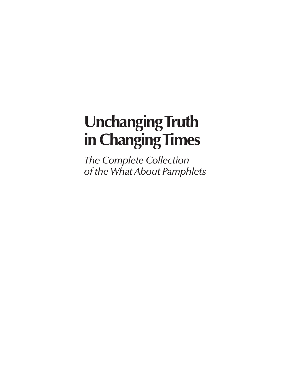# **Unchanging Truth in Changing Times**

*The Complete Collection of the What About Pamphlets*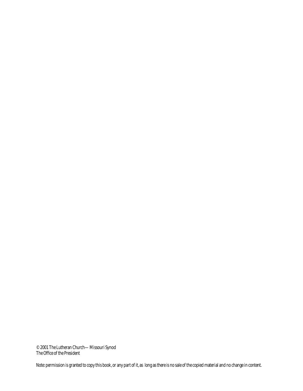© 2001 The Lutheran Church—Missouri Synod The Office of the President

Note: permission is granted to copy this book, or any part of it, as long as there is no sale of the copied material and no change in content.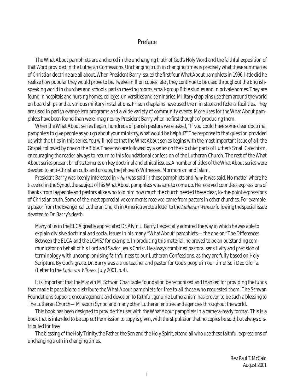# **Preface**

The What About pamphlets are anchored in the unchanging truth of God's Holy Word and the faithful exposition of that Word provided in the Lutheran Confessions. Unchanging truth in changing times is precisely what these summaries of Christian doctrine are all about.When President Barry issued the first four What About pamphlets in 1996, little did he realize how popular they would prove to be. Twelve million copies later, they continue to be used throughout the Englishspeaking world in churches and schools, parish meeting rooms, small-group Bible studies and in private homes. They are found in hospitals and nursing homes, colleges, universities and seminaries. Military chaplains use them around the world on board ships and at various military installations. Prison chaplains have used them in state and federal facilities. They are used in parish evangelism programs and a wide variety of community events. More uses for the What About pamphlets have been found than were imagined by President Barry when he first thought of producing them.

When the What About series began, hundreds of parish pastors were asked, "If you could have some clear doctrinal pamphlets to give people as you go about your ministry, what would be helpful?" The response to that question provided us with the titles in this series.You will notice that the What About series begins with the most important issue of all: the Gospel, followed by one on the Bible. These two are followed by a series on the six chief parts of Luther's Small Catechism, encouraging the reader always to return to this foundational confession of the Lutheran Church. The rest of the What About series present brief statements on key doctrinal and ethical issues.A number of titles of the What About series were devoted to anti-Christian cults and groups, the Jehovah's Witnesses, Mormonism and Islam.

President Barry was keenly interested in *what* was said in these pamphlets and *how* it was said. No matter where he traveled in the Synod, the subject of his What About pamphlets was sure to come up. He received countless expressions of thanks from laypeople and pastors alike who told him how much the church needed these clear, to-the-point expressions of Christian truth. Some of the most appreciative comments received came from pastors in other churches. For example, a pastor from the Evangelical Lutheran Church in America wrote a letter to the *Lutheran Witness*following the special issue devoted to Dr. Barry's death.

Many of us in the ELCA greatly appreciated Dr.Alvin L. Barry. I especially admired the way in which he was able to explain divisive doctrinal and social issues in his many,"What About" pamphlets—the one on "The Differences Between the ELCA and the LCMS," for example. In producing this material, he proved to be an outstanding communicator on behalf of his Lord and Savior Jesus Christ. He always combined pastoral sensitivity and precision of terminology with uncompromising faithfulness to our Lutheran Confessions, as they are fully based on Holy Scripture. By God's grace, Dr. Barry was a true teacher and pastor for God's people in our time! Soli Deo Gloria. (Letter to the *Lutheran Witness*, July 2001, p. 4).

It is important that the Marvin M. Schwan Charitable Foundation be recognized and thanked for providing the funds that made it possible to distribute the What About pamphlets for free to all those who requested them. The Schwan Foundation's support, encouragement and devotion to faithful, genuine Lutheranism has proven to be such a blessing to The Lutheran Church—Missouri Synod and many other Lutheran entities and agencies throughout the world.

This book has been designed to provide the user with the What About pamphlets in a camera-ready format. This is a book that is intended to be copied! Permission to copy is given, with the stipulation that no copies be sold, but always distributed for free.

The blessing of the Holy Trinity, the Father, the Son and the Holy Spirit, attend all who use these faithful expressions of unchanging truth in changing times.

> Rev.Paul T.McCain August 2001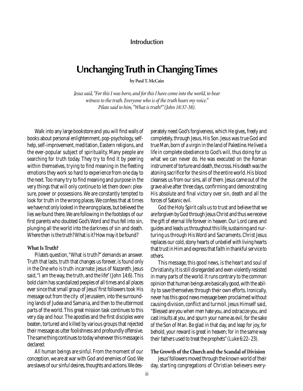## **Introduction**

# **Unchanging Truth in Changing Times**

**by Paul T. McCain**

*Jesus said,"For this I was born, and for this I have come into the world, to bear witness to the truth. Everyone who is of the truth hears my voice." Pilate said to him,"What is truth?"(John 18:37-38).*

Walk into any large bookstore and you will find walls of books about personal enlightenment, pop-psychology, selfhelp, self-improvement, meditation, Eastern religions, and the ever-popular subject of spirituality. Many people are searching for truth today. They try to find it by peering within themselves, trying to find meaning in the fleeting emotions they work so hard to experience from one day to the next. Too many try to find meaning and purpose in the very things that will only continue to let them down: pleasure, power or possessions. We are constantly tempted to look for truth in the wrong places. We confess that at times we have not only looked in the wrong places, but believed the lies we found there.We are following in the footsteps of our first parents who doubted God's Word and thus fell into sin, plunging all the world into the darkness of sin and death. Where then is the truth? What is it? How may it be found?

#### **What Is Truth?**

Pilate's question,"What is truth?" demands an answer. Truth that lasts, truth that changes us forever, is found only in the One who is truth incarnate: Jesus of Nazareth. Jesus said,"I am the way, the truth, and the life" (John 14:6). This bold claim has scandalized peoples of all times and all places ever since that small group of Jesus' first followers took His message out from the city of Jerusalem, into the surrounding lands of Judea and Samaria, and then to the uttermost parts of the world. This great mission task continues to this very day and hour. The apostles and the first disciples were beaten, tortured and killed by various groups that rejected their message as utter foolishness and profoundly offensive. The same thing continues to today whenever this message is declared:

All human beings are sinful. From the moment of our conception, we are at war with God and enemies of God.We are slaves of our sinful desires, thoughts and actions. We desperately need God's forgiveness, which He gives, freely and completely, through Jesus, His Son. Jesus was true God and true Man,born of a virgin in the land of Palestine.He lived a life in complete obedience to God's will, thus doing for us what we can never do. He was executed on the Roman instrument of torture and death, the cross. His death was the atoning sacrifice for the sins of the entire world. His blood cleanses us from our sins, all of them. Jesus came out of the grave alive after three days, confirming and demonstrating His absolute and final victory over sin, death and all the forces of Satanic evil.

God the Holy Spirit calls us to trust and believe that we are forgiven by God through Jesus Christ and thus we receive the gift of eternal life forever in heaven. Our Lord cares and guides and leads us throughout this life, sustaining and nurturing us through His Word and Sacraments. Christ Jesus replaces our cold, stony hearts of unbelief with living hearts that trust in Him and express that faith in thankful service to others.

This message, this good news, is the heart and soul of Christianity.It is still disregarded and even violently resisted in many parts of the world. It runs contrary to the common opinion that human beings are basically good,with the ability to save themselves through their own efforts. Ironically, never has this good news message been proclaimed without causing division, conflict and turmoil. Jesus Himself said, "Blessed are you when men hate you, and ostracize you, and cast insults at you, and spurn your name as evil, for the sake of the Son of Man. Be glad in that day, and leap for joy, for behold, your reward is great in heaven; for in the same way their fathers used to treat the prophets"(Luke 6:22–23).

#### **The Growth of the Church and the Scandal of Division**

Jesus'followers moved through the known world of their day, starting congregations of Christian believers every-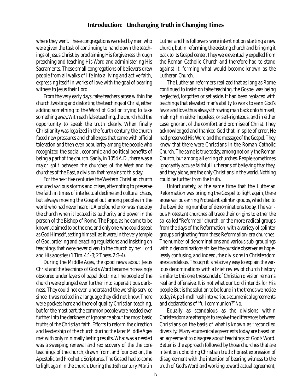where they went. These congregations were led by men who were given the task of continuing to hand down the teachings of Jesus Christ by proclaiming His forgiveness through preaching and teaching His Word and administering His Sacraments. These small congregations of believers drew people from all walks of life into a living and active faith, expressing itself in works of love with the goal of bearing witness to Jesus their Lord.

From the very early days, false teachers arose within the church, twisting and distorting the teachings of Christ, either adding something to the Word of God or trying to take something away. With each false teaching, the church had the opportunity to speak the truth clearly. When finally Christianity was legalized in the fourth century, the church faced new pressures and challenges that came with official toleration and then even popularity among the people who recognized the social, economic and political benefits of being a part of the church. Sadly, in 1054 A.D., there was a major split between the churches of the West and the churches of the East, a division that remains to this day.

For the next five centuries the Western Christian church endured various storms and crises, attempting to preserve the faith in times of intellectual decline and cultural chaos, but always moving the Gospel out among peoples in the world who had never heard it.A profound error was made by the church when it located its authority and power in the person of the Bishop of Rome. The Pope, as he came to be known, claimed to be the one, and only one, who could speak as God Himself, setting himself, as it were, in the very temple of God, ordering and enacting regulations and insisting on teachings that were never given to the church by her Lord and His apostles (1 Tim.4:1-3; 2 Thess.2:3-4).

During the Middle Ages, the good news about Jesus Christ and the teachings of God's Word became increasingly obscured under layers of papal doctrine. The people of the church were plunged ever further into superstitious darkness. They could not even understand the worship service since it was recited in a language they did not know. There were pockets here and there of quality Christian teaching, but for the most part, the common people were headed ever further into the darkness of ignorance about the most basic truths of the Christian faith. Efforts to reform the direction and leadership of the church during the later Middle Ages met with only minimally lasting results.What was a needed was a sweeping renewal and rediscovery of the the core teachings of the church, drawn from, and founded on, the Apostolic and Prophetic Scriptures.The Gospel had to come to light again in the church.During the 16th century, Martin

Luther and his followers were intent not on starting a new church, but in reforming the existing church and bringing it back to its Gospel center.They were eventually expelled from the Roman Catholic Church and therefore had to stand against it, forming what would become known as the Lutheran Church.

The Lutheran reformers realized that as long as Rome continued to insist on false teaching, the Gospel was being neglected, forgotten or set aside. It had been replaced with teachings that elevated man's ability to work to earn God's favor and love, thus always throwing man back onto himself, making him either hopeless, or self-righteous, and in either case ignorant of the comfort and promise of Christ. They acknowledged and thanked God that, in spite of error, He had preserved His Word and the message of the Gospel.They knew that there were Christians in the Roman Catholic Church. The same is true today, among not only the Roman Church, but among all erring churches. People sometimes ignorantly accuse faithful Lutherans of believing that they, and they alone, are the only Christians in the world. Nothing could be further from the truth.

Unfortunately, at the same time that the Lutheran Reformation was bringing the Gospel to light again, there arose various erring Protestant splinter groups, which led to the bewildering number of denominations today. The various Protestant churches all trace their origins to either the so-called "Reformed" church, or the more radical groups from the days of the Reformation, with a variety of splinter groups originating from these Reformation-era churches. The number of denominations and various sub-groupings within denominations strikes the outside observer as hopelessly confusing, and indeed, the divisions in Christendom are scandalous.Though it is relatively easy to explain the various denominations with a brief review of church history similar to this one, the scandal of Christian division remains real and offensive. It is not what our Lord intends for His people.But is the solution to be found in the trends we notice today? A pell-mell rush into various ecumenical agreements and declarations of "full communion?" No.

Equally as scandalous as the divisions within Christendom are attempts to resolve the differences between Christians on the basis of what is known as "reconciled diversity." Many ecumenical agreements today are based on an agreement to disagree about teachings of God's Word. Better is the approach followed by those churches that are intent on upholding Christian truth: honest expression of disagreement with the intention of bearing witness to the truth of God's Word and working toward actual agreement,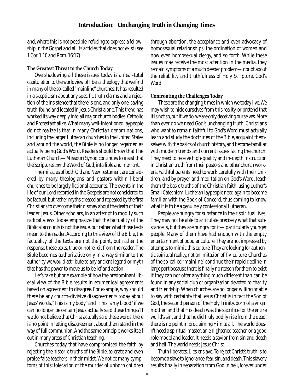and, where this is not possible, refusing to express a fellowship in the Gospel and all its articles that does not exist (see 1 Cor.1:10 and Rom.16:17).

#### **The Greatest Threat to the Church Today**

Overshadowing all these issues today is a near-total capitulation to the worldview of liberal theology that we find in many of the so-called "mainline"churches. It has resulted in a skepticism about any specific truth claims and a rejection of the insistence that there is one, and only one, saving truth, found and located in Jesus Christ alone. This trend has worked its way deeply into all major church bodies, Catholic and Protestant alike.What many well-intentioned laypeople do not realize is that in many Christian denominations, including the larger Lutheran churches in the United States and around the world, the Bible is no longer regarded as actually being God's Word. Readers should know that The Lutheran Church—Missouri Synod continues to insist that the Scriptures *are*the Word of God, infallible and inerrant.

The miracles of both Old and New Testament are considered by many theologians and pastors within liberal churches to be largely fictional accounts. The events in the life of our Lord recorded in the Gospels are not considered to be factual, but rather myths created and repeated by the first Christians to overcome their dismay about the death of their leader, Jesus. Other scholars, in an attempt to modify such radical views, today emphasize that the factuality of the Biblical accounts is not the issue, but rather what those texts mean to the reader.According to this view of the Bible, the factuality of the texts are not the point, but rather the response these texts, true or not, elicit from the reader. The Bible becomes authoritative only in a way similar to the authority we would attribute to any ancient legend or myth that has the power to move us to belief and action.

Let's take but one example of how the predominant liberal view of the Bible results in ecumenical agreements based on agreement to disagree. For example, why should there be any church-divisive disagreements today about Jesus' words,"This is my body"and "This is my blood"if we can no longer be certain Jesus actually said these things? If we do not believe that Christ actually said these words, there is no point in letting disagreement about them stand in the way of full communion.And the same principle works itself out in many areas of Christian teaching.

Churches today that have compromised the faith by rejecting the historic truths of the Bible, tolerate and even praise false teachers in their midst.We notice many symptoms of this: toleration of the murder of unborn children

through abortion, the acceptance and even advocacy of homosexual relationships, the ordination of women and now even homosexual clergy, and so forth. While these issues may receive the most attention in the media, they remain symptoms of a much deeper problem—doubt about the reliability and truthfulness of Holy Scripture, God's Word.

#### **Confronting the Challenges Today**

These are the changing times in which we today live.We may wish to hide ourselves from this reality, or pretend that it is not so, but if we do, we are only deceiving ourselves. More than ever do we need God's unchanging truth. Christians who want to remain faithful to God's Word must actually learn and study the doctrines of the Bible, acquaint themselves with the basics of church history, and become familiar with modern trends and current issues facing the church. They need to receive high-quality and in-depth instruction in Christian truth from their pastors and other church workers. Faithful parents need to work carefully with their children, and by prayer and meditation on God's Word, teach them the basic truths of the Christian faith, using Luther's Small Catechism. Lutheran laypeople need again to become familiar with the Book of Concord, thus coming to know what it is to be a genuinely confessional Lutheran.

People are hungry for substance in their spiritual lives. They may not be able to articulate precisely what that substance is, but they are hungry for it—particularly younger people. Many of them have had enough with the empty entertainment of popular culture.They are not impressed by attempts to mimic this culture.They are looking for authentic spiritual reality, not an imitation of TV culture. Churches of the so-called "mainline" continue their rapid decline in large part because there is finally no reason for them to exist if they can not offer anything much different than can be found in any social club or organization devoted to charity and friendship.When churches are no longer willing or able to say with certainty that Jesus Christ is in fact the Son of God, the second person of the Holy Trinity, born of a virgin mother, and that His death was the sacrifice for the entire world's sin, and that he did truly bodily rise from the dead, there is no point in proclaiming Him at all. The world doesn't need a spiritual master, an enlightened teacher, or a good role model and leader. It needs a savior from sin and death and hell.The world needs Jesus Christ.

Truth liberates. Lies enslave. To reject Christ's truth is to become a slave to ignorance, fear, sin, and death. This slavery results finally in separation from God in hell, forever under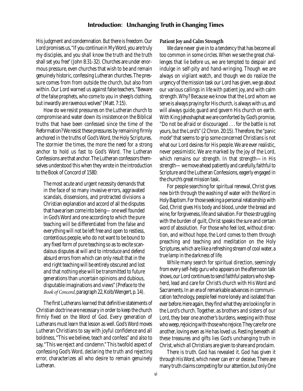His judgment and condemnation. But there is freedom. Our Lord promises us, "If you continue in My Word, you are truly my disciples, and you shall know the truth and the truth shall set you free" (John 8:31-32). Churches are under enormous pressure, even churches that wish to be and remain genuinely historic, confessing Lutheran churches. The pressure comes from from outside the church, but also from within. Our Lord warned us against false teachers,"Beware of the false prophets, who come to you in sheep's clothing, but inwardly are ravenous wolves"(Matt.7:15).

How do we resist pressures on the Lutheran church to compromise and water down its insistence on the Biblical truths that have been confessed since the time of the Reformation? We resist these pressures by remaining firmly anchored in the truths of God's Word, the Holy Scriptures. The stormier the times, the more the need for a strong anchor to hold us fast to God's Word. The Lutheran Confessions are that anchor.The Lutheran confessors themselves understood this when they wrote in the introduction to the Book of Concord of 1580:

The most acute and urgent necessity demands that in the face of so many invasive errors, aggravated scandals, dissensions, and protracted divisions a Christian explanation and accord of all the disputes that have arisen come into being—one well founded in God's Word and one according to which the pure teaching will be differentiated from the false and everything will not be left free and open to restless, contentious people, who do not want to be bound to any fixed form of pure teaching so as to excite scandalous disputes at will and to introduce and defend absurd errors from which can only result that in the end right teaching will be entirely obscured and lost and that nothing else will be transmitted to future generations than uncertain opinions and dubious, disputable imaginations and views" (Preface to the Book of Concord, paragraph 22, Kolb/Wengert, p. 14).

The first Lutherans learned that definitive statements of Christian doctrine are necessary in order to keep the church firmly fixed on the Word of God. Every generation of Lutherans must learn that lesson as well. God's Word moves Lutheran Christians to say with joyful confidence and all boldness,"This we believe, teach and confess" and also to say,"This we reject and condemn." This twofold aspect of confessing God's Word, declaring the truth and rejecting error, characterizes all who desire to remain genuinely Lutheran.

#### **Patient Joy and Calm Strength**

We dare never give in to a tendency that has become all too common in some circles. When we see the great challenges that lie before us, we are tempted to despair and indulge in self-pity and hand-wringing. Though we are always on vigilant watch, and though we do realize the urgency of the mission task our Lord has given, we go about our various callings in life with patient joy, and with calm strength. Why? Because we know that the Lord whom we serve is always praying for His church, is always with us, and will always guide, guard and govern His church on earth. With King Jehoshaphat we are comforted by God's promise, "Do not be afraid or discouraged . . . for the battle is not yours, but the Lord's"(2 Chron. 20:15). Therefore, the "panic mode" that seems to grip some concerned Christians is not what our Lord desires for His people.We are ever realistic, never pessimistic. We are marked by the joy of the Lord, which remains our strength. In that strength—in His strength—we move ahead patiently and carefully, faithful to Scripture and the Lutheran Confessions, eagerly engaged in the church's great mission task.

For people searching for spiritual renewal, Christ gives new birth through the washing of water with the Word in Holy Baptism.For those seeking a personal relationship with God, Christ gives His body and blood, under the bread and wine, for forgiveness, life and salvation. For those struggling with the burden of guilt, Christ speaks the sure and certain word of absolution. For those who feel lost, without direction, and without hope, the Lord comes to them through preaching and teaching and meditation on the Holy Scriptures, which are like a refreshing stream of cool water, a true lamp in the darkness of life.

While many search for spiritual direction, seemingly from every self-help guru who appears on the afternoon talk shows,our Lord continues to send faithful pastors who shepherd, lead and care for Christ's church with His Word and Sacraments.In an era of remarkable advances in communication technology, people feel more lonely and isolated than ever before. Here again, they find what they are looking for in the Lord's church. Together, as brothers and sisters of our Lord, they bear one another's burdens, weeping with those who weep, rejoicing with those who rejoice. They care for one another, loving even as He has loved us. Resting beneath all these treasures and gifts lies God's unchanging truth in Christ, which all Christians are given to share and proclaim.

There is truth. God has revealed it. God has given it through His Word, which never can err or deceive. There are many truth claims competing for our attention, but only One